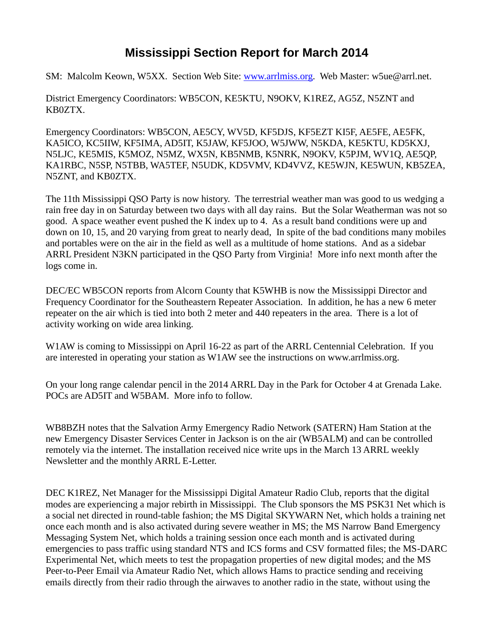## **Mississippi Section Report for March 2014**

SM: Malcolm Keown, W5XX. Section Web Site: [www.arrlmiss.org.](http://www.arrlmiss.org/) Web Master: w5ue@arrl.net.

District Emergency Coordinators: WB5CON, KE5KTU, N9OKV, K1REZ, AG5Z, N5ZNT and KB0ZTX.

Emergency Coordinators: WB5CON, AE5CY, WV5D, KF5DJS, KF5EZT KI5F, AE5FE, AE5FK, KA5ICO, KC5IIW, KF5IMA, AD5IT, K5JAW, KF5JOO, W5JWW, N5KDA, KE5KTU, KD5KXJ, N5LJC, KE5MIS, K5MOZ, N5MZ, WX5N, KB5NMB, K5NRK, N9OKV, K5PJM, WV1Q, AE5QP, KA1RBC, N5SP, N5TBB, WA5TEF, N5UDK, KD5VMV, KD4VVZ, KE5WJN, KE5WUN, KB5ZEA, N5ZNT, and KB0ZTX.

The 11th Mississippi QSO Party is now history. The terrestrial weather man was good to us wedging a rain free day in on Saturday between two days with all day rains. But the Solar Weatherman was not so good. A space weather event pushed the K index up to 4. As a result band conditions were up and down on 10, 15, and 20 varying from great to nearly dead, In spite of the bad conditions many mobiles and portables were on the air in the field as well as a multitude of home stations. And as a sidebar ARRL President N3KN participated in the QSO Party from Virginia! More info next month after the logs come in.

DEC/EC WB5CON reports from Alcorn County that K5WHB is now the Mississippi Director and Frequency Coordinator for the Southeastern Repeater Association. In addition, he has a new 6 meter repeater on the air which is tied into both 2 meter and 440 repeaters in the area. There is a lot of activity working on wide area linking.

W1AW is coming to Mississippi on April 16-22 as part of the ARRL Centennial Celebration. If you are interested in operating your station as W1AW see the instructions on www.arrlmiss.org.

On your long range calendar pencil in the 2014 ARRL Day in the Park for October 4 at Grenada Lake. POCs are AD5IT and W5BAM. More info to follow.

WB8BZH notes that the Salvation Army Emergency Radio Network (SATERN) Ham Station at the new Emergency Disaster Services Center in Jackson is on the air (WB5ALM) and can be controlled remotely via the internet. The installation received nice write ups in the March 13 ARRL weekly Newsletter and the monthly ARRL E-Letter.

DEC K1REZ, Net Manager for the Mississippi Digital Amateur Radio Club, reports that the digital modes are experiencing a major rebirth in Mississippi. The Club sponsors the MS PSK31 Net which is a social net directed in round-table fashion; the MS Digital SKYWARN Net, which holds a training net once each month and is also activated during severe weather in MS; the MS Narrow Band Emergency Messaging System Net, which holds a training session once each month and is activated during emergencies to pass traffic using standard NTS and ICS forms and CSV formatted files; the MS-DARC Experimental Net, which meets to test the propagation properties of new digital modes; and the MS Peer-to-Peer Email via Amateur Radio Net, which allows Hams to practice sending and receiving emails directly from their radio through the airwaves to another radio in the state, without using the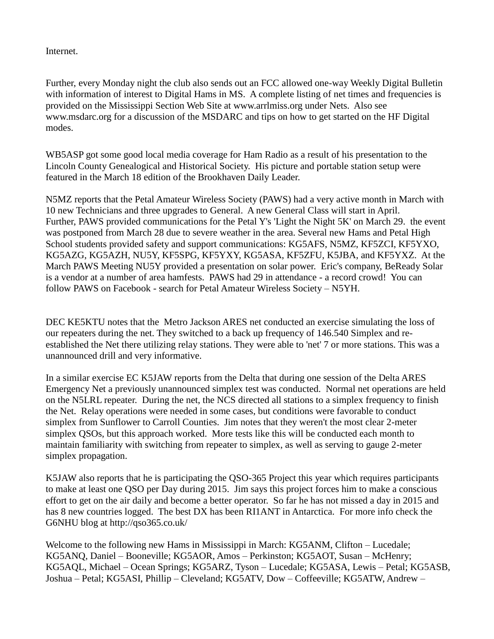Internet.

Further, every Monday night the club also sends out an FCC allowed one-way Weekly Digital Bulletin with information of interest to Digital Hams in MS. A complete listing of net times and frequencies is provided on the Mississippi Section Web Site at [www.arrlmiss.org](http://www.arrlmiss.org/) under Nets. Also see www.msdarc.org for a discussion of the MSDARC and tips on how to get started on the HF Digital modes.

WB5ASP got some good local media coverage for Ham Radio as a result of his presentation to the Lincoln County Genealogical and Historical Society. His picture and portable station setup were featured in the March 18 edition of the Brookhaven Daily Leader.

N5MZ reports that the Petal Amateur Wireless Society (PAWS) had a very active month in March with 10 new Technicians and three upgrades to General. A new General Class will start in April. Further, PAWS provided communications for the Petal Y's 'Light the Night 5K' on March 29. the event was postponed from March 28 due to severe weather in the area. Several new Hams and Petal High School students provided safety and support communications: KG5AFS, N5MZ, KF5ZCI, KF5YXO, KG5AZG, KG5AZH, NU5Y, KF5SPG, KF5YXY, KG5ASA, KF5ZFU, K5JBA, and KF5YXZ. At the March PAWS Meeting NU5Y provided a presentation on solar power. Eric's company, BeReady Solar is a vendor at a number of area hamfests. PAWS had 29 in attendance - a record crowd! You can follow PAWS on Facebook - search for Petal Amateur Wireless Society – N5YH.

DEC KE5KTU notes that the Metro Jackson ARES net conducted an exercise simulating the loss of our repeaters during the net. They switched to a back up frequency of 146.540 Simplex and reestablished the Net there utilizing relay stations. They were able to 'net' 7 or more stations. This was a unannounced drill and very informative.

In a similar exercise EC K5JAW reports from the Delta that during one session of the Delta ARES Emergency Net a previously unannounced simplex test was conducted. Normal net operations are held on the N5LRL repeater. During the net, the NCS directed all stations to a simplex frequency to finish the Net. Relay operations were needed in some cases, but conditions were favorable to conduct simplex from Sunflower to Carroll Counties. Jim notes that they weren't the most clear 2-meter simplex QSOs, but this approach worked. More tests like this will be conducted each month to maintain familiarity with switching from repeater to simplex, as well as serving to gauge 2-meter simplex propagation.

K5JAW also reports that he is participating the QSO-365 Project this year which requires participants to make at least one QSO per Day during 2015. Jim says this project forces him to make a conscious effort to get on the air daily and become a better operator. So far he has not missed a day in 2015 and has 8 new countries logged. The best DX has been RI1ANT in Antarctica. For more info check the G6NHU blog at http://qso365.co.uk/

Welcome to the following new Hams in Mississippi in March: KG5ANM, Clifton – Lucedale; KG5ANQ, Daniel – Booneville; KG5AOR, Amos – Perkinston; KG5AOT, Susan – McHenry; KG5AQL, Michael – Ocean Springs; KG5ARZ, Tyson – Lucedale; KG5ASA, Lewis – Petal; KG5ASB, Joshua – Petal; KG5ASI, Phillip – Cleveland; KG5ATV, Dow – Coffeeville; KG5ATW, Andrew –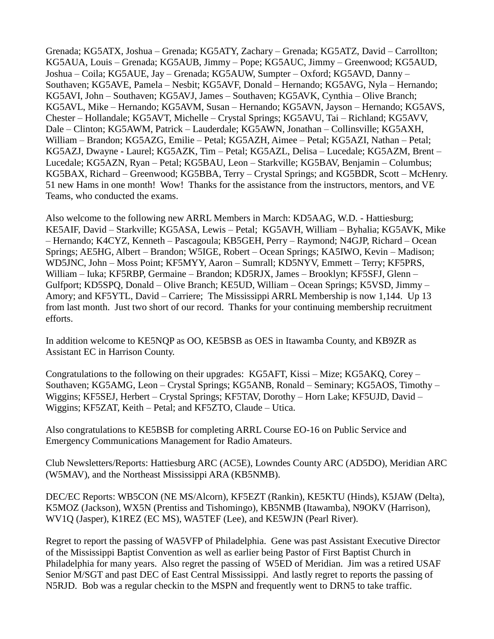Grenada; KG5ATX, Joshua – Grenada; KG5ATY, Zachary – Grenada; KG5ATZ, David – Carrollton; KG5AUA, Louis – Grenada; KG5AUB, Jimmy – Pope; KG5AUC, Jimmy – Greenwood; KG5AUD, Joshua – Coila; KG5AUE, Jay – Grenada; KG5AUW, Sumpter – Oxford; KG5AVD, Danny – Southaven; KG5AVE, Pamela – Nesbit; KG5AVF, Donald – Hernando; KG5AVG, Nyla – Hernando; KG5AVI, John – Southaven; KG5AVJ, James – Southaven; KG5AVK, Cynthia – Olive Branch; KG5AVL, Mike – Hernando; KG5AVM, Susan – Hernando; KG5AVN, Jayson – Hernando; KG5AVS, Chester – Hollandale; KG5AVT, Michelle – Crystal Springs; KG5AVU, Tai – Richland; KG5AVV, Dale – Clinton; KG5AWM, Patrick – Lauderdale; KG5AWN, Jonathan – Collinsville; KG5AXH, William – Brandon; KG5AZG, Emilie – Petal; KG5AZH, Aimee – Petal; KG5AZI, Nathan – Petal; KG5AZJ, Dwayne - Laurel; KG5AZK, Tim – Petal; KG5AZL, Delisa – Lucedale; KG5AZM, Brent – Lucedale; KG5AZN, Ryan – Petal; KG5BAU, Leon – Starkville; KG5BAV, Benjamin – Columbus; KG5BAX, Richard – Greenwood; KG5BBA, Terry – Crystal Springs; and KG5BDR, Scott – McHenry. 51 new Hams in one month! Wow! Thanks for the assistance from the instructors, mentors, and VE Teams, who conducted the exams.

Also welcome to the following new ARRL Members in March: KD5AAG, W.D. - Hattiesburg; KE5AIF, David – Starkville; KG5ASA, Lewis – Petal; KG5AVH, William – Byhalia; KG5AVK, Mike – Hernando; K4CYZ, Kenneth – Pascagoula; KB5GEH, Perry – Raymond; N4GJP, Richard – Ocean Springs; AE5HG, Albert – Brandon; W5IGE, Robert – Ocean Springs; KA5IWO, Kevin – Madison; WD5JNC, John – Moss Point; KF5MYY, Aaron – Sumrall; KD5NYV, Emmett – Terry; KF5PRS, William – Iuka; KF5RBP, Germaine – Brandon; KD5RJX, James – Brooklyn; KF5SFJ, Glenn – Gulfport; KD5SPQ, Donald – Olive Branch; KE5UD, William – Ocean Springs; K5VSD, Jimmy – Amory; and KF5YTL, David – Carriere; The Mississippi ARRL Membership is now 1,144. Up 13 from last month. Just two short of our record. Thanks for your continuing membership recruitment efforts.

In addition welcome to KE5NQP as OO, KE5BSB as OES in Itawamba County, and KB9ZR as Assistant EC in Harrison County.

Congratulations to the following on their upgrades: KG5AFT, Kissi – Mize; KG5AKQ, Corey – Southaven; KG5AMG, Leon – Crystal Springs; KG5ANB, Ronald – Seminary; KG5AOS, Timothy – Wiggins; KF5SEJ, Herbert – Crystal Springs; KF5TAV, Dorothy – Horn Lake; KF5UJD, David – Wiggins; KF5ZAT, Keith – Petal; and KF5ZTO, Claude – Utica.

Also congratulations to KE5BSB for completing ARRL Course EO-16 on Public Service and Emergency Communications Management for Radio Amateurs.

Club Newsletters/Reports: Hattiesburg ARC (AC5E), Lowndes County ARC (AD5DO), Meridian ARC (W5MAV), and the Northeast Mississippi ARA (KB5NMB).

DEC/EC Reports: WB5CON (NE MS/Alcorn), KF5EZT (Rankin), KE5KTU (Hinds), K5JAW (Delta), K5MOZ (Jackson), WX5N (Prentiss and Tishomingo), KB5NMB (Itawamba), N9OKV (Harrison), WV1Q (Jasper), K1REZ (EC MS), WA5TEF (Lee), and KE5WJN (Pearl River).

Regret to report the passing of WA5VFP of Philadelphia. Gene was past Assistant Executive Director of the Mississippi Baptist Convention as well as earlier being Pastor of First Baptist Church in Philadelphia for many years. Also regret the passing of W5ED of Meridian. Jim was a retired USAF Senior M/SGT and past DEC of East Central Mississippi. And lastly regret to reports the passing of N5RJD. Bob was a regular checkin to the MSPN and frequently went to DRN5 to take traffic.